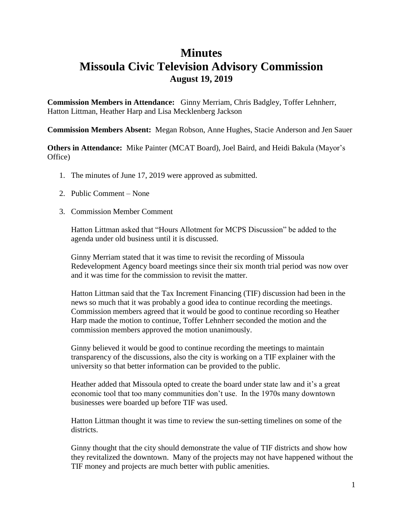## **Minutes Missoula Civic Television Advisory Commission August 19, 2019**

**Commission Members in Attendance:** Ginny Merriam, Chris Badgley, Toffer Lehnherr, Hatton Littman, Heather Harp and Lisa Mecklenberg Jackson

**Commission Members Absent:** Megan Robson, Anne Hughes, Stacie Anderson and Jen Sauer

**Others in Attendance:** Mike Painter (MCAT Board), Joel Baird, and Heidi Bakula (Mayor's Office)

- 1. The minutes of June 17, 2019 were approved as submitted.
- 2. Public Comment None
- 3. Commission Member Comment

Hatton Littman asked that "Hours Allotment for MCPS Discussion" be added to the agenda under old business until it is discussed.

Ginny Merriam stated that it was time to revisit the recording of Missoula Redevelopment Agency board meetings since their six month trial period was now over and it was time for the commission to revisit the matter.

Hatton Littman said that the Tax Increment Financing (TIF) discussion had been in the news so much that it was probably a good idea to continue recording the meetings. Commission members agreed that it would be good to continue recording so Heather Harp made the motion to continue, Toffer Lehnherr seconded the motion and the commission members approved the motion unanimously.

Ginny believed it would be good to continue recording the meetings to maintain transparency of the discussions, also the city is working on a TIF explainer with the university so that better information can be provided to the public.

Heather added that Missoula opted to create the board under state law and it's a great economic tool that too many communities don't use. In the 1970s many downtown businesses were boarded up before TIF was used.

Hatton Littman thought it was time to review the sun-setting timelines on some of the districts.

Ginny thought that the city should demonstrate the value of TIF districts and show how they revitalized the downtown. Many of the projects may not have happened without the TIF money and projects are much better with public amenities.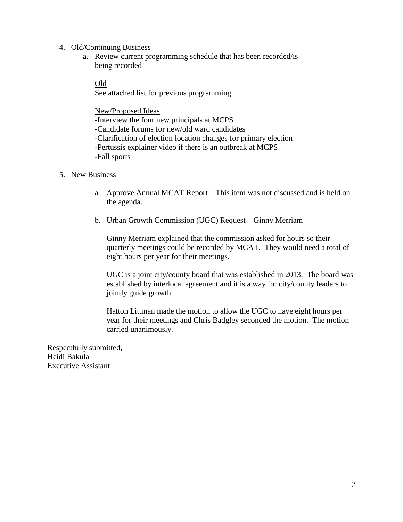- 4. Old/Continuing Business
	- a. Review current programming schedule that has been recorded/is being recorded

Old

See attached list for previous programming

New/Proposed Ideas -Interview the four new principals at MCPS -Candidate forums for new/old ward candidates -Clarification of election location changes for primary election -Pertussis explainer video if there is an outbreak at MCPS -Fall sports

- 5. New Business
	- a. Approve Annual MCAT Report This item was not discussed and is held on the agenda.
	- b. Urban Growth Commission (UGC) Request Ginny Merriam

Ginny Merriam explained that the commission asked for hours so their quarterly meetings could be recorded by MCAT. They would need a total of eight hours per year for their meetings.

UGC is a joint city/county board that was established in 2013. The board was established by interlocal agreement and it is a way for city/county leaders to jointly guide growth.

Hatton Littman made the motion to allow the UGC to have eight hours per year for their meetings and Chris Badgley seconded the motion. The motion carried unanimously.

Respectfully submitted, Heidi Bakula Executive Assistant